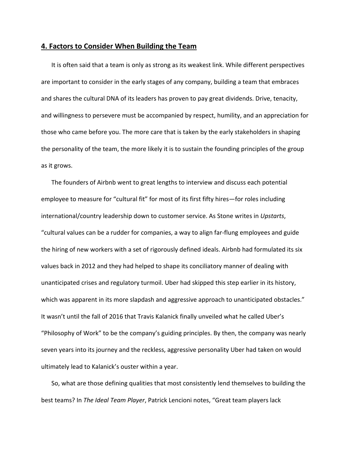## **4. Factors to Consider When Building the Team**

It is often said that a team is only as strong as its weakest link. While different perspectives are important to consider in the early stages of any company, building a team that embraces and shares the cultural DNA of its leaders has proven to pay great dividends. Drive, tenacity, and willingness to persevere must be accompanied by respect, humility, and an appreciation for those who came before you. The more care that is taken by the early stakeholders in shaping the personality of the team, the more likely it is to sustain the founding principles of the group as it grows.

The founders of Airbnb went to great lengths to interview and discuss each potential employee to measure for "cultural fit" for most of its first fifty hires—for roles including international/country leadership down to customer service. As Stone writes in *Upstarts*, "cultural values can be a rudder for companies, a way to align far‐flung employees and guide the hiring of new workers with a set of rigorously defined ideals. Airbnb had formulated its six values back in 2012 and they had helped to shape its conciliatory manner of dealing with unanticipated crises and regulatory turmoil. Uber had skipped this step earlier in its history, which was apparent in its more slapdash and aggressive approach to unanticipated obstacles." It wasn't until the fall of 2016 that Travis Kalanick finally unveiled what he called Uber's "Philosophy of Work" to be the company's guiding principles. By then, the company was nearly seven years into its journey and the reckless, aggressive personality Uber had taken on would ultimately lead to Kalanick's ouster within a year.

So, what are those defining qualities that most consistently lend themselves to building the best teams? In *The Ideal Team Player*, Patrick Lencioni notes, "Great team players lack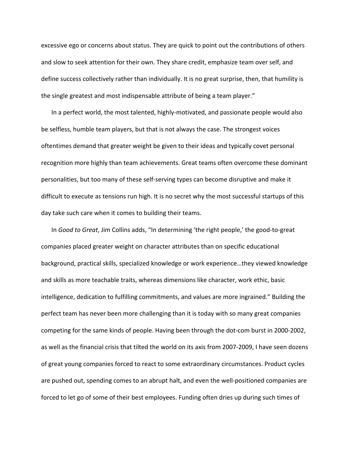excessive ego or concerns about status. They are quick to point out the contributions of others and slow to seek attention for their own. They share credit, emphasize team over self, and define success collectively rather than individually. It is no great surprise, then, that humility is the single greatest and most indispensable attribute of being a team player."

In a perfect world, the most talented, highly-motivated, and passionate people would also be selfless, humble team players, but that is not always the case. The strongest voices oftentimes demand that greater weight be given to their ideas and typically covet personal recognition more highly than team achievements. Great teams often overcome these dominant personalities, but too many of these self‐serving types can become disruptive and make it difficult to execute as tensions run high. It is no secret why the most successful startups of this day take such care when it comes to building their teams.

In *Good to Great*, Jim Collins adds, "In determining 'the right people,' the good‐to‐great companies placed greater weight on character attributes than on specific educational background, practical skills, specialized knowledge or work experience…they viewed knowledge and skills as more teachable traits, whereas dimensions like character, work ethic, basic intelligence, dedication to fulfilling commitments, and values are more ingrained." Building the perfect team has never been more challenging than it is today with so many great companies competing for the same kinds of people. Having been through the dot‐com burst in 2000‐2002, as well as the financial crisis that tilted the world on its axis from 2007‐2009, I have seen dozens of great young companies forced to react to some extraordinary circumstances. Product cycles are pushed out, spending comes to an abrupt halt, and even the well‐positioned companies are forced to let go of some of their best employees. Funding often dries up during such times of